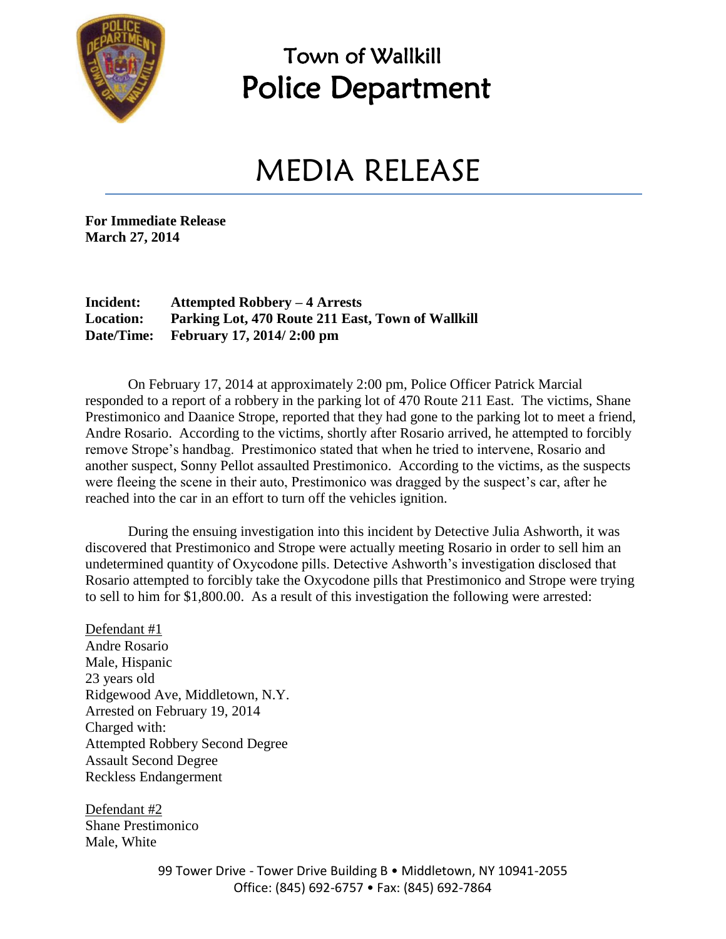

### Town of Wallkill Police Department

# MEDIA RELEASE

**For Immediate Release March 27, 2014**

#### **Incident: Attempted Robbery – 4 Arrests Location: Parking Lot, 470 Route 211 East, Town of Wallkill Date/Time: February 17, 2014/ 2:00 pm**

On February 17, 2014 at approximately 2:00 pm, Police Officer Patrick Marcial responded to a report of a robbery in the parking lot of 470 Route 211 East. The victims, Shane Prestimonico and Daanice Strope, reported that they had gone to the parking lot to meet a friend, Andre Rosario. According to the victims, shortly after Rosario arrived, he attempted to forcibly remove Strope's handbag. Prestimonico stated that when he tried to intervene, Rosario and another suspect, Sonny Pellot assaulted Prestimonico. According to the victims, as the suspects were fleeing the scene in their auto, Prestimonico was dragged by the suspect's car, after he reached into the car in an effort to turn off the vehicles ignition.

During the ensuing investigation into this incident by Detective Julia Ashworth, it was discovered that Prestimonico and Strope were actually meeting Rosario in order to sell him an undetermined quantity of Oxycodone pills. Detective Ashworth's investigation disclosed that Rosario attempted to forcibly take the Oxycodone pills that Prestimonico and Strope were trying to sell to him for \$1,800.00. As a result of this investigation the following were arrested:

Defendant #1 Andre Rosario Male, Hispanic 23 years old Ridgewood Ave, Middletown, N.Y. Arrested on February 19, 2014 Charged with: Attempted Robbery Second Degree Assault Second Degree Reckless Endangerment

Defendant #2 Shane Prestimonico Male, White